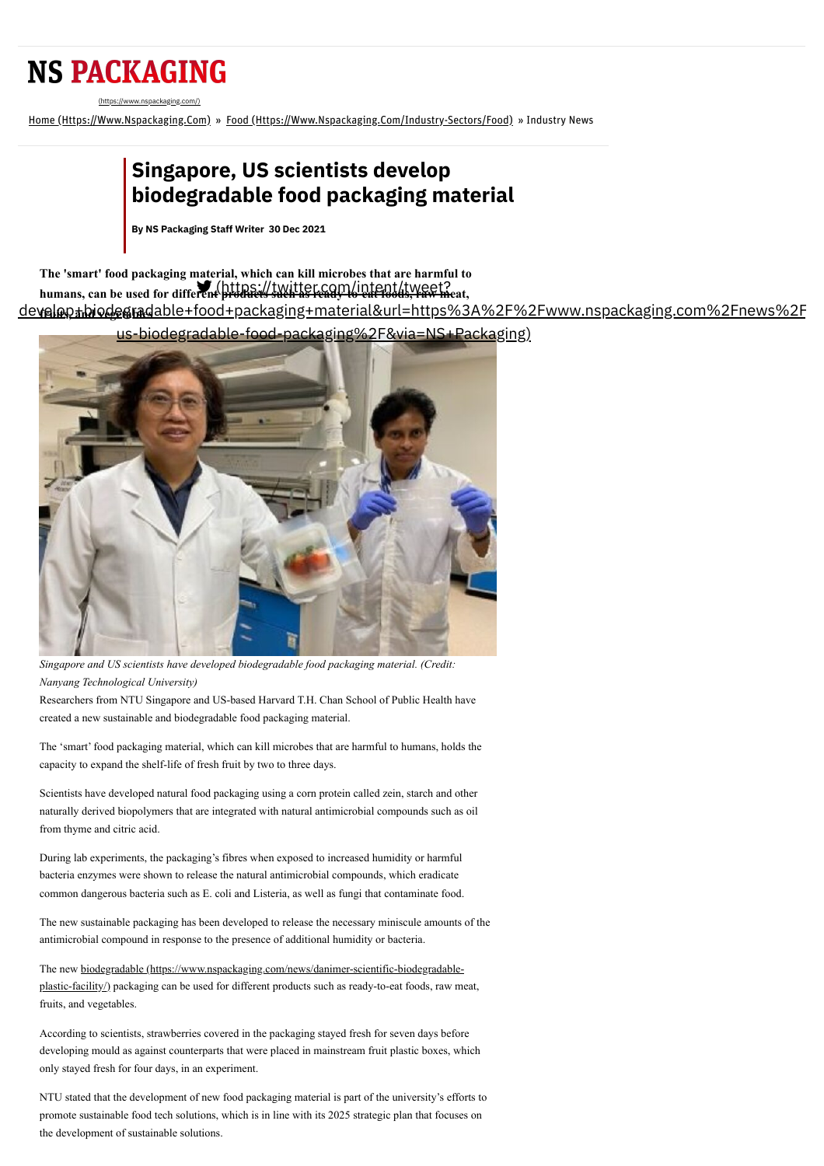## **NS PACKAGING**

[\(https://www.nspackaging.com/\)](https://www.nspackaging.com/)

Home [\(Https://Www.Nspackaging.Com\)](https://www.nspackaging.com/) » Food [\(Https://Www.Nspackaging.Com/Industry-Sectors/Food\)](https://www.nspackaging.com/industry-sectors/food) » Industry News

## **Singapore, US scientists develop biodegradable food packaging material**

**By NS [Packaging](https://www.nspackaging.com/author/ranjithkumar/) Staff Writer 30 Dec 2021**

**The 'smart' food packaging material, which can kill microbes that are harmful to** humans, can be used for different products such as ready-to-eat foods, raw meat,

**fruits, and vegetables** [develop+biodegradable+food+packaging+material&url=https%3A%2F%2Fwww.nspackaging.com%2Fnews%2F](https://twitter.com/intent/tweet?text=Singapore%2C+US+scientists+develop+biodegradable+food+packaging+material&url=https%3A%2F%2Fwww.nspackaging.com%2Fnews%2Fsingapore-us-biodegradable-food-packaging%2F&via=NS+Packaging)



us-biodegradable-food-packaging%2F&via=NS+Packaging)

*Singapore and US scientists have developed biodegradable food packaging material. (Credit: Nanyang Technological University)*

Researchers from NTU Singapore and US-based Harvard T.H. Chan School of Public Health have created a new sustainable and biodegradable food packaging material.

The 'smart' food packaging material, which can kill microbes that are harmful to humans, holds the capacity to expand the shelf-life of fresh fruit by two to three days.

Scientists have developed natural food packaging using a corn protein called zein, starch and other naturally derived biopolymers that are integrated with natural antimicrobial compounds such as oil from thyme and citric acid.

During lab experiments, the packaging's fibres when exposed to increased humidity or harmful bacteria enzymes were shown to release the natural antimicrobial compounds, which eradicate common dangerous bacteria such as E. coli and Listeria, as well as fungi that contaminate food.

The new sustainable packaging has been developed to release the necessary miniscule amounts of the antimicrobial compound in response to the presence of additional humidity or bacteria.

The new biodegradable (https://www.nspackaging.com/news/danimer-scientific-biodegradable[plastic-facility/\) packaging can be used for different products such as ready-to-eat foods, raw me](https://www.nspackaging.com/news/danimer-scientific-biodegradable-plastic-facility/)at, fruits, and vegetables.

According to scientists, strawberries covered in the packaging stayed fresh for seven days before developing mould as against counterparts that were placed in mainstream fruit plastic boxes, which only stayed fresh for four days, in an experiment.

NTU stated that the development of new food packaging material is part of the university's efforts to promote sustainable food tech solutions, which is in line with its 2025 strategic plan that focuses on the development of sustainable solutions.